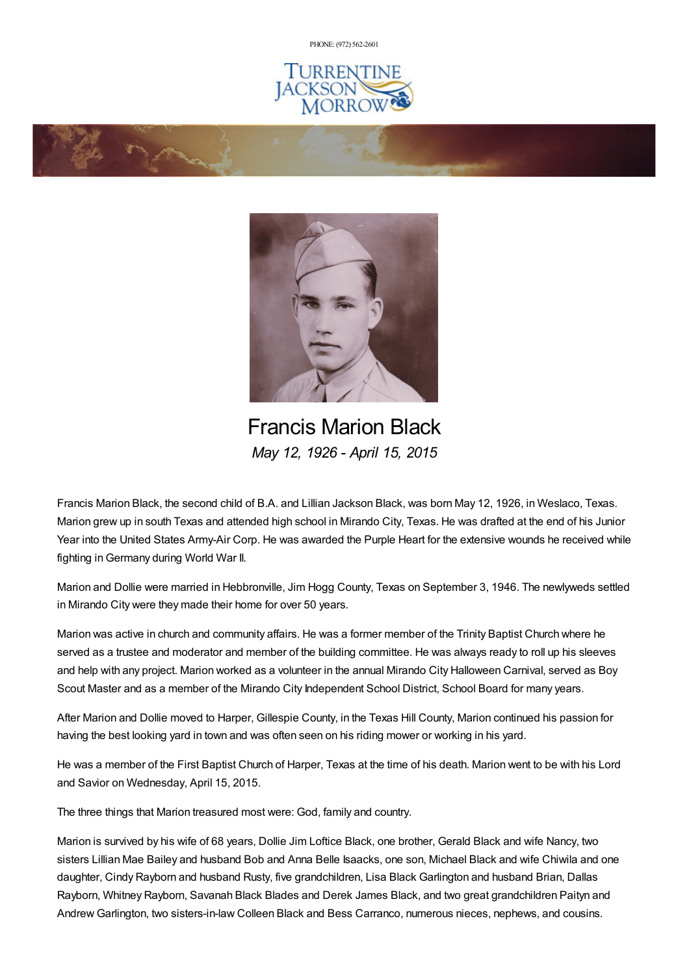PHONE: (972) [562-2601](tel:(972) 562-2601)







Francis Marion Black *May 12, 1926 - April 15, 2015*

Francis Marion Black, the second child of B.A. and Lillian Jackson Black, was born May 12, 1926, in Weslaco, Texas. Marion grew up in south Texas and attended high school in Mirando City, Texas. He was drafted at the end of his Junior Year into the United States Army-Air Corp. He was awarded the Purple Heart for the extensive wounds he received while fighting inGermany during World War II.

Marion and Dollie were married in Hebbronville, Jim Hogg County, Texas on September 3, 1946. The newlyweds settled in Mirando City were they made their home for over 50 years.

Marion was active in church and community affairs. He was a former member of the Trinity Baptist Church where he served as a trustee and moderator and member of the building committee. He was always ready to roll up his sleeves and help with any project. Marion worked as a volunteer in the annual Mirando City Halloween Carnival, served as Boy Scout Master and as a member of the Mirando City Independent School District, School Board for many years.

After Marion and Dollie moved to Harper, Gillespie County, in the Texas Hill County, Marion continued his passion for having the best looking yard in town and was often seen on his riding mower or working in his yard.

He was a member of the First Baptist Church of Harper, Texas at the time of his death. Marion went to be with his Lord and Savior on Wednesday, April 15, 2015.

The three things that Marion treasured most were: God, family and country.

Marion is survived by his wife of 68 years, Dollie Jim Loftice Black, one brother, Gerald Black and wife Nancy, two sisters Lillian Mae Bailey and husband Bob and Anna Belle Isaacks, one son, Michael Black and wife Chiwila and one daughter, Cindy Rayborn and husband Rusty, five grandchildren, Lisa Black Garlington and husband Brian, Dallas Rayborn, Whitney Rayborn, Savanah Black Blades and Derek James Black, and two great grandchildren Paityn and Andrew Garlington, two sisters-in-law Colleen Black and Bess Carranco, numerous nieces, nephews, and cousins.